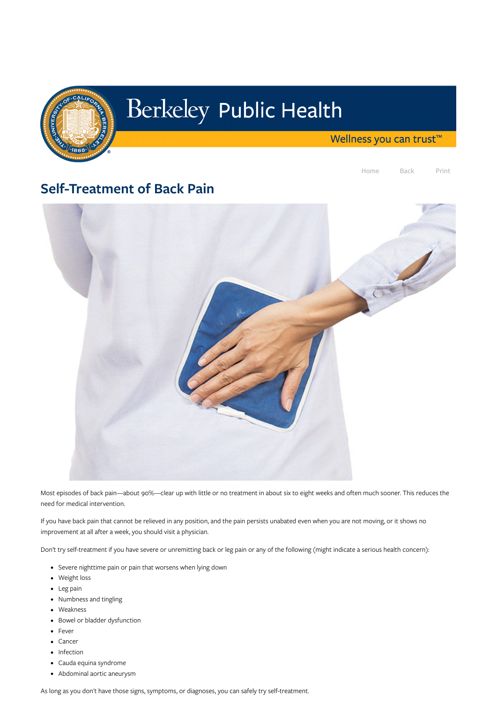

# Berkeley Public Health

Wellness you can trust<sup>™</sup>

Home Back Print

# Self-Treatment of Back Pain



Most episodes of back pain—about 90%—clear up with little or no treatment in about six to eight weeks and often much sooner. This reduces the need for medical intervention.

If you have back pain that cannot be relieved in any position, and the pain persists unabated even when you are not moving, or it shows no

improvement at all after a week, you should visit a physician.

Don't try self-treatment if you have severe or unremitting back or leg pain or any of the following (might indicate a serious health concern):

- Severe nighttime pain or pain that worsens when lying down
- Weight loss
- Leg pain
- Numbness and tingling
- Weakness
- Bowel or bladder dysfunction
- Fever
- Cancer
- Infection
- Cauda equina syndrome
- Abdominal aortic aneurysm

As long as you don't have those signs, symptoms, or diagnoses, you can safely try self-treatment.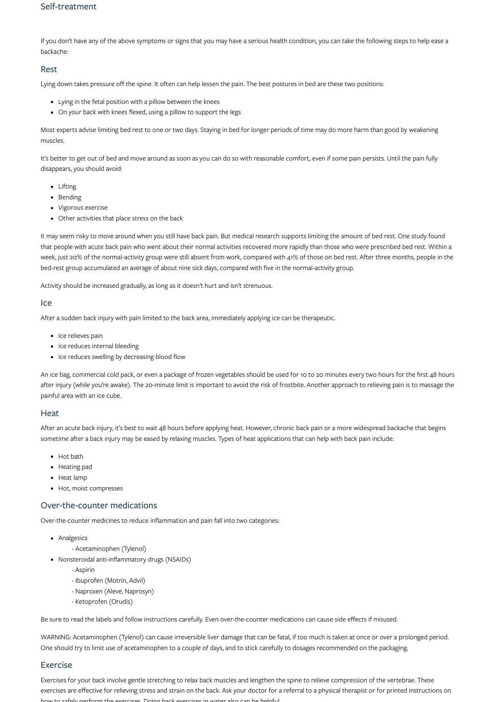### Self-treatment

If you don't have any of the above symptoms or signs that you may have a serious health condition, you can take the following steps to help ease a backache:

#### Rest

Lying down takes pressure off the spine. It often can help lessen the pain. The best postures in bed are these two positions:

- Lying in the fetal position with a pillow between the knees
- On your back with knees flexed, using a pillow to support the legs

- Lifting
- Bending
- Vigorous exercise
- Other activities that place stress on the back

Most experts advise limiting bed rest to one or two days. Staying in bed for longer periods of time may do more harm than good by weakening muscles.

It's better to get out of bed and move around as soon as you can do so with reasonable comfort, even if some pain persists. Until the pain fully disappears, you should avoid:

It may seem risky to move around when you still have back pain. But medical research supports limiting the amount of bed rest. One study found that people with acute back pain who went about their normal activities recovered more rapidly than those who were prescribed bed rest. Within a week, just 20% of the normal-activity group were still absent from work, compared with 41% of those on bed rest. After three months, people in the bed-rest group accumulated an average of about nine sick days, compared with five in the normal-activity group.

Activity should be increased gradually, as long as it doesn't hurt and isn't strenuous.

#### Ice

After a sudden back injury with pain limited to the back area, immediately applying ice can be therapeutic.

- Ice relieves pain
- Ice reduces internal bleeding
- Ice reduces swelling by decreasing blood flow

An ice bag, commercial cold pack, or even a package of frozen vegetables should be used for 10 to 20 minutes every two hours for the first 48 hours after injury (while you're awake). The 20-minute limit is important to avoid the risk of frostbite. Another approach to relieving pain is to massage the painful area with an ice cube.

#### **Heat**

After an acute back injury, it's best to wait 48 hours before applying heat. However, chronic back pain or a more widespread backache that begins sometime after a back injury may be eased by relaxing muscles. Types of heat applications that can help with back pain include:

- Hot bath
- Heating pad
- Heat lamp
- Hot, moist compresses

## Over-the-counter medications

Over-the-counter medicines to reduce inflammation and pain fall into two categories:

• Analgesics

- Acetaminophen (Tylenol)

Nonsteroidal anti-inflammatory drugs (NSAIDs)

- Aspirin

- Ibuprofen (Motrin, Advil)
- Naproxen (Aleve, Naprosyn)
- Ketoprofen (Orudis)

Be sure to read the labels and follow instructions carefully. Even over-the-counter medications can cause side effects if misused.

WARNING: Acetaminophen (Tylenol) can cause irreversible liver damage that can be fatal, if too much is taken at once or over a prolonged period. One should try to limit use of acetaminophen to a couple of days, and to stick carefully to dosages recommended on the packaging.

#### Exercise

Exercises for your back involve gentle stretching to relax back muscles and lengthen the spine to relieve compression of the vertebrae. These exercises are effective for relieving stress and strain on the back. Ask your doctor for a referral to a physical therapist or for printed instructions on how to safely perform the exercises Doing back exercises in water also can be helpful